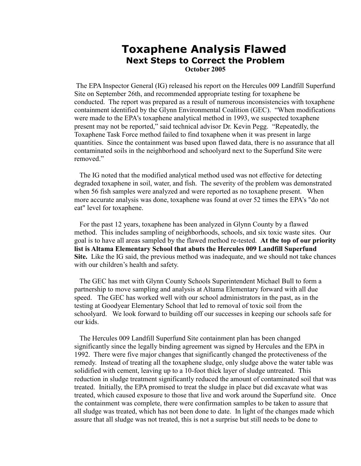## **Toxaphene Analysis Flawed Next Steps to Correct the Problem**

**October 2005**

The EPA Inspector General (IG) released his report on the Hercules 009 Landfill Superfund Site on September 26th, and recommended appropriate testing for toxaphene be conducted. The report was prepared as a result of numerous inconsistencies with toxaphene containment identified by the Glynn Environmental Coalition (GEC). "When modifications were made to the EPA's toxaphene analytical method in 1993, we suspected toxaphene present may not be reported," said technical advisor Dr. Kevin Pegg. "Repeatedly, the Toxaphene Task Force method failed to find toxaphene when it was present in large quantities. Since the containment was based upon flawed data, there is no assurance that all contaminated soils in the neighborhood and schoolyard next to the Superfund Site were removed"

 The IG noted that the modified analytical method used was not effective for detecting degraded toxaphene in soil, water, and fish. The severity of the problem was demonstrated when 56 fish samples were analyzed and were reported as no toxaphene present. When more accurate analysis was done, toxaphene was found at over 52 times the EPA's "do not eat" level for toxaphene.

 For the past 12 years, toxaphene has been analyzed in Glynn County by a flawed method. This includes sampling of neighborhoods, schools, and six toxic waste sites. Our goal is to have all areas sampled by the flawed method re-tested. **At the top of our priority list is Altama Elementary School that abuts the Hercules 009 Landfill Superfund Site.** Like the IG said, the previous method was inadequate, and we should not take chances with our children's health and safety.

 The GEC has met with Glynn County Schools Superintendent Michael Bull to form a partnership to move sampling and analysis at Altama Elementary forward with all due speed. The GEC has worked well with our school administrators in the past, as in the testing at Goodyear Elementary School that led to removal of toxic soil from the schoolyard. We look forward to building off our successes in keeping our schools safe for our kids.

 The Hercules 009 Landfill Superfund Site containment plan has been changed significantly since the legally binding agreement was signed by Hercules and the EPA in 1992. There were five major changes that significantly changed the protectiveness of the remedy. Instead of treating all the toxaphene sludge, only sludge above the water table was solidified with cement, leaving up to a 10-foot thick layer of sludge untreated. This reduction in sludge treatment significantly reduced the amount of contaminated soil that was treated. Initially, the EPA promised to treat the sludge in place but did excavate what was treated, which caused exposure to those that live and work around the Superfund site. Once the containment was complete, there were confirmation samples to be taken to assure that all sludge was treated, which has not been done to date. In light of the changes made which assure that all sludge was not treated, this is not a surprise but still needs to be done to